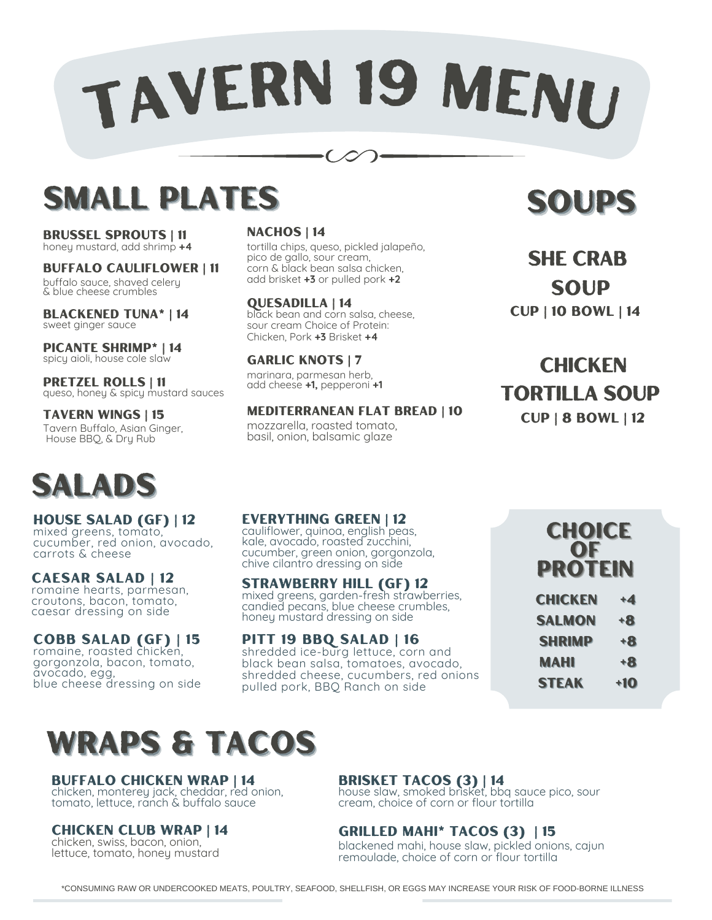# TAVER<sup>N</sup> <sup>1</sup><sup>9</sup> <sup>M</sup>ENU

Ő

# **SMALL PLATES**

brussel Sprouts | 11 honey mustard, add shrimp **+4**

BUFFALO CAULIFLOWER | 11

buffalo sauce, shaved celery & blue cheese crumbles

Blackened TunA\* | 14 sweet ginger sauce

Picante Shrimp\* | 14 spicy aioli, house cole slaw

PRETZEL ROLLS | 11 queso, honey & spicy mustard sauces

TAVERN WINGS | 15 Tavern Buffalo, Asian Ginger, House BBQ, & Dry Rub



house salad (GF) | 12 mixed greens, tomato, cucumber, red onion, avocado, carrots & cheese

caesar salad | 12 romaine hearts, parmesan, croutons, bacon, tomato, caesar dressing on side

Cobb Salad (GF) | 15 romaine, roasted chicken, gorgonzola, bacon, tomato, avocado, egg, blue cheese dressing on side

### NACHOS | 14

tortilla chips, queso, pickled jalapeño, pico de gallo, sour cream, corn & black bean salsa chicken, add brisket **+3** or pulled pork **+2**

### Quesadilla | 14

black bean and corn salsa, cheese, sour cream Choice of Protein: Chicken, Pork **+3** Brisket **+4**

GARLIC KNOTS | 7 marinara, parmesan herb, add cheese **+1,** pepperoni **+1**

MEDITERRANEAN FLAT BREAD | 10

mozzarella, roasted tomato, basil, onion, balsamic glaze

### SOUPS

SHE CRAB SOUP Cup | 10 Bowl | 14

**CHICKEN** TORTILLA SOUP Cup | 8 Bowl | 12

### everything green | 12

cauliflower, quinoa, english peas, kale, avocado, roasted zucchini, cucumber, green onion, gorgonzola, chive cilantro dressing on side

STRAWBERRY HILL (GF) 12 mixed greens, garden-fresh strawberries, candied pecans, blue cheese crumbles, honey mustard dressing on side

### Pitt 19 BBq Salad | 16

shredded ice-burg lettuce, corn and black bean salsa, tomatoes, avocado, shredded cheese, cucumbers, red onions pulled pork, BBQ Ranch on side

CHOICE OF PROTEIN

| <b>CHICKEN</b> | $+4$ |
|----------------|------|
| <b>SALMON</b>  | +8   |
| <b>SHRIMP</b>  | +8   |
| <b>MAHI</b>    | $+8$ |
| <b>STEAK</b>   | +10  |

# WRAPS & TACOS

### bUFFALO CHICKEN WRAP | 14

chicken, monterey jack, cheddar, red onion, tomato, lettuce, ranch & buffalo sauce

### chicken club wrap | 14

chicken, swiss, bacon, onion, lettuce, tomato, honey mustard

### Brisket Tacos (3) | 14

house slaw, smoked brisket, bbq sauce pico, sour cream, choice of corn or flour tortilla

### grilled mahi\* tacos (3) | 15

blackened mahi, house slaw, pickled onions, cajun remoulade, choice of corn or flour tortilla

\*CONSUMING RAW OR UNDERCOOKED MEATS, POULTRY, SEAFOOD, SHELLFISH, OR EGGS MAY INCREASE YOUR RISK OF FOOD-BORNE ILLNESS